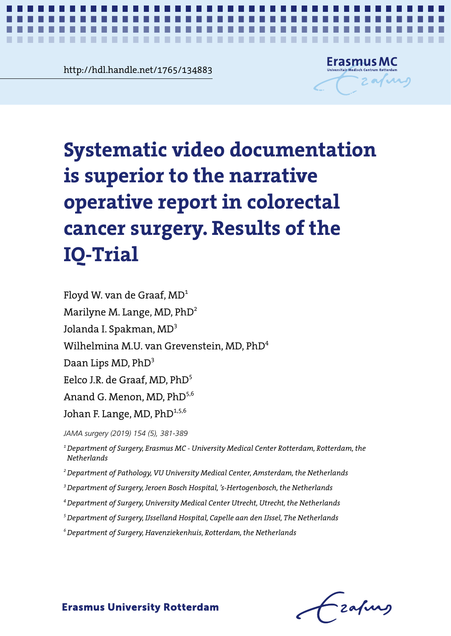<u>Rup://Raharande.het/1/65/134883</u><br>
Experience http://hdl.handle.net/1765/134883



# is superior to the narrative operative report in colorectal in colorectal cancer surgery. Results of the **cancer surgery. Results of the**  IQ-Trial **IQ-Trial Systematic video documentation**

*Systematic video documentation versus narrative operative report in colorectal cancer surgery* **1**

Jolanda I. Spakman<mark>,</mark> MD<sup>3</sup> Marilyne M. Lange, MD, PhD<sup>2</sup> Wilhelmina M.U. van Grevenstein, MD,  $PhD^4$ Daan Lips MD, PhD $^3$ Eelco J.R. de Graaf, MD, PhD<sup>5</sup>  $\begin{bmatrix} 1 & 1 & 1 \\ 0 & 0 & 1 \end{bmatrix}$ Anand G. Menon, MD, PhD<sup>5,6</sup> Johan F. Lange, MD, PhD<sup>1,5,6</sup> Floyd W. van de Graaf, MD1 Marilyne M. Lange, MD, PhD<sup>2</sup>

*JAMA surgery (2019) 154 (5), 381-389*

- *JAMA surgery (2019) 154 (5), 381-389 1 Department of Surgery, Erasmus MC University Medical Center Rotterdam, Rotterdam, the Netherlands*
- <sup>2</sup> Department of Pathology, VU University Medical Center, Amsterdam, the Netherlands
- <sup>3</sup> Department of Surgery, Jeroen Bosch Hospital, 's-Hertogenbosch, the Netherlands
- 2 Department of Pathology, VU University Medical Center, Amsterdam, the Netherlands <sup>4</sup> Department of Surgery, University Medical Center Utrecht, Utrecht, the Netherlands
- <sup>5</sup> Department of Surgery, IJsselland Hospital, Capelle aan den IJssel, The Netherlands
- $^6$ Department of Surgery, Havenziekenhuis, Rotterdam, the Netherlands

fzafing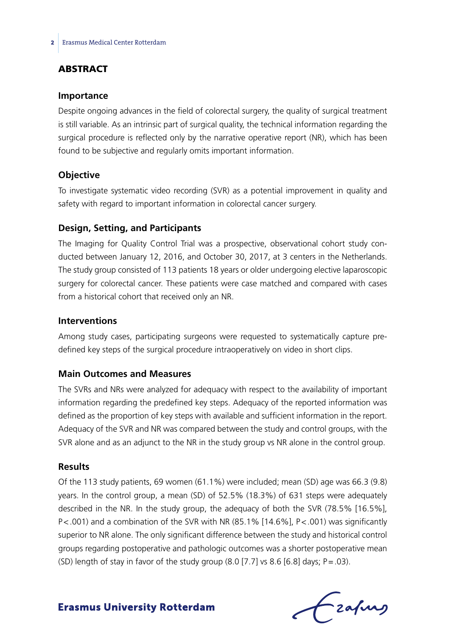# **ABSTRACT**

#### **Importance**

Despite ongoing advances in the field of colorectal surgery, the quality of surgical treatment is still variable. As an intrinsic part of surgical quality, the technical information regarding the surgical procedure is reflected only by the narrative operative report (NR), which has been found to be subjective and regularly omits important information.

### **Objective**

To investigate systematic video recording (SVR) as a potential improvement in quality and safety with regard to important information in colorectal cancer surgery.

### **Design, Setting, and Participants**

The Imaging for Quality Control Trial was a prospective, observational cohort study conducted between January 12, 2016, and October 30, 2017, at 3 centers in the Netherlands. The study group consisted of 113 patients 18 years or older undergoing elective laparoscopic surgery for colorectal cancer. These patients were case matched and compared with cases from a historical cohort that received only an NR.

### **Interventions**

Among study cases, participating surgeons were requested to systematically capture predefined key steps of the surgical procedure intraoperatively on video in short clips.

### **Main Outcomes and Measures**

The SVRs and NRs were analyzed for adequacy with respect to the availability of important information regarding the predefined key steps. Adequacy of the reported information was defined as the proportion of key steps with available and sufficient information in the report. Adequacy of the SVR and NR was compared between the study and control groups, with the SVR alone and as an adjunct to the NR in the study group vs NR alone in the control group.

### **Results**

Of the 113 study patients, 69 women (61.1%) were included; mean (SD) age was 66.3 (9.8) years. In the control group, a mean (SD) of 52.5% (18.3%) of 631 steps were adequately described in the NR. In the study group, the adequacy of both the SVR (78.5% [16.5%], P<.001) and a combination of the SVR with NR (85.1% [14.6%], P<.001) was significantly superior to NR alone. The only significant difference between the study and historical control groups regarding postoperative and pathologic outcomes was a shorter postoperative mean (SD) length of stay in favor of the study group  $(8.0 [7.7] \text{ vs } 8.6 [6.8] \text{ days}; P = .03)$ .

Czafing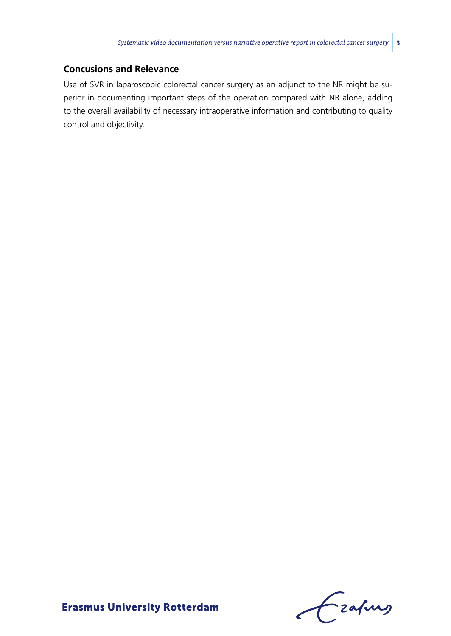# **Concusions and Relevance**

Use of SVR in laparoscopic colorectal cancer surgery as an adjunct to the NR might be superior in documenting important steps of the operation compared with NR alone, adding to the overall availability of necessary intraoperative information and contributing to quality control and objectivity.

Frafing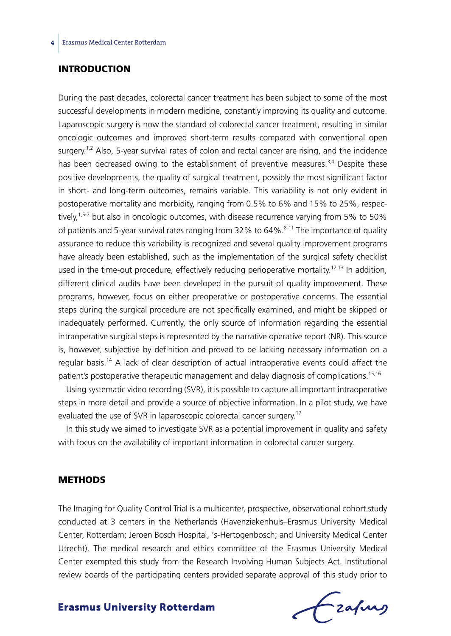# Introduction

During the past decades, colorectal cancer treatment has been subject to some of the most successful developments in modern medicine, constantly improving its quality and outcome. Laparoscopic surgery is now the standard of colorectal cancer treatment, resulting in similar oncologic outcomes and improved short-term results compared with conventional open surgery.<sup>1,2</sup> Also, 5-year survival rates of colon and rectal cancer are rising, and the incidence has been decreased owing to the establishment of preventive measures.<sup>3,4</sup> Despite these positive developments, the quality of surgical treatment, possibly the most significant factor in short- and long-term outcomes, remains variable. This variability is not only evident in postoperative mortality and morbidity, ranging from 0.5% to 6% and 15% to 25%, respectively,<sup>1,5-7</sup> but also in oncologic outcomes, with disease recurrence varying from 5% to 50% of patients and 5-year survival rates ranging from 32% to 64%.<sup>8-11</sup> The importance of quality assurance to reduce this variability is recognized and several quality improvement programs have already been established, such as the implementation of the surgical safety checklist used in the time-out procedure, effectively reducing perioperative mortality.<sup>12,13</sup> In addition, different clinical audits have been developed in the pursuit of quality improvement. These programs, however, focus on either preoperative or postoperative concerns. The essential steps during the surgical procedure are not specifically examined, and might be skipped or inadequately performed. Currently, the only source of information regarding the essential intraoperative surgical steps is represented by the narrative operative report (NR). This source is, however, subjective by definition and proved to be lacking necessary information on a regular basis.<sup>14</sup> A lack of clear description of actual intraoperative events could affect the patient's postoperative therapeutic management and delay diagnosis of complications.<sup>15,16</sup>

Using systematic video recording (SVR), it is possible to capture all important intraoperative steps in more detail and provide a source of objective information. In a pilot study, we have evaluated the use of SVR in laparoscopic colorectal cancer surgery.<sup>17</sup>

In this study we aimed to investigate SVR as a potential improvement in quality and safety with focus on the availability of important information in colorectal cancer surgery.

# **METHODS**

The Imaging for Quality Control Trial is a multicenter, prospective, observational cohort study conducted at 3 centers in the Netherlands (Havenziekenhuis–Erasmus University Medical Center, Rotterdam; Jeroen Bosch Hospital, 's-Hertogenbosch; and University Medical Center Utrecht). The medical research and ethics committee of the Erasmus University Medical Center exempted this study from the Research Involving Human Subjects Act. Institutional review boards of the participating centers provided separate approval of this study prior to

Frahing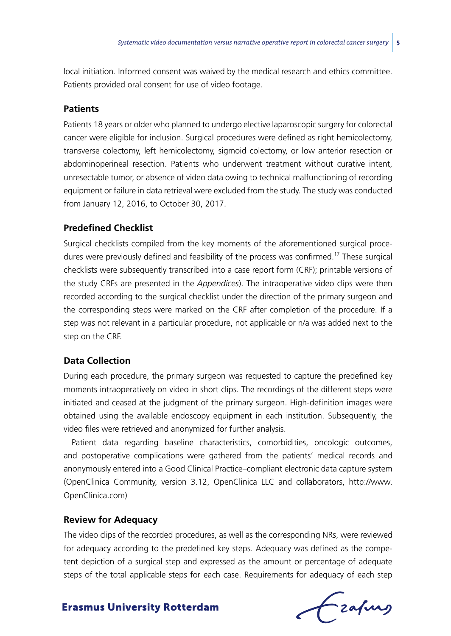local initiation. Informed consent was waived by the medical research and ethics committee. Patients provided oral consent for use of video footage.

# **Patients**

Patients 18 years or older who planned to undergo elective laparoscopic surgery for colorectal cancer were eligible for inclusion. Surgical procedures were defined as right hemicolectomy, transverse colectomy, left hemicolectomy, sigmoid colectomy, or low anterior resection or abdominoperineal resection. Patients who underwent treatment without curative intent, unresectable tumor, or absence of video data owing to technical malfunctioning of recording equipment or failure in data retrieval were excluded from the study. The study was conducted from January 12, 2016, to October 30, 2017.

### **Predefined Checklist**

Surgical checklists compiled from the key moments of the aforementioned surgical procedures were previously defined and feasibility of the process was confirmed.<sup>17</sup> These surgical checklists were subsequently transcribed into a case report form (CRF); printable versions of the study CRFs are presented in the *Appendices*). The intraoperative video clips were then recorded according to the surgical checklist under the direction of the primary surgeon and the corresponding steps were marked on the CRF after completion of the procedure. If a step was not relevant in a particular procedure, not applicable or n/a was added next to the step on the CRF.

# **Data Collection**

During each procedure, the primary surgeon was requested to capture the predefined key moments intraoperatively on video in short clips. The recordings of the different steps were initiated and ceased at the judgment of the primary surgeon. High-definition images were obtained using the available endoscopy equipment in each institution. Subsequently, the video files were retrieved and anonymized for further analysis.

Patient data regarding baseline characteristics, comorbidities, oncologic outcomes, and postoperative complications were gathered from the patients' medical records and anonymously entered into a Good Clinical Practice–compliant electronic data capture system (OpenClinica Community, version 3.12, OpenClinica LLC and collaborators, http://www. OpenClinica.com)

# **Review for Adequacy**

The video clips of the recorded procedures, as well as the corresponding NRs, were reviewed for adequacy according to the predefined key steps. Adequacy was defined as the competent depiction of a surgical step and expressed as the amount or percentage of adequate steps of the total applicable steps for each case. Requirements for adequacy of each step

Czafurg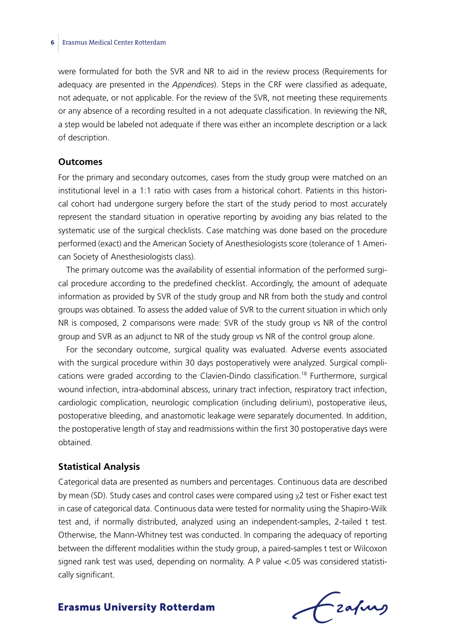were formulated for both the SVR and NR to aid in the review process (Requirements for adequacy are presented in the *Appendices*). Steps in the CRF were classified as adequate, not adequate, or not applicable. For the review of the SVR, not meeting these requirements or any absence of a recording resulted in a not adequate classification. In reviewing the NR, a step would be labeled not adequate if there was either an incomplete description or a lack of description.

### **Outcomes**

For the primary and secondary outcomes, cases from the study group were matched on an institutional level in a 1:1 ratio with cases from a historical cohort. Patients in this historical cohort had undergone surgery before the start of the study period to most accurately represent the standard situation in operative reporting by avoiding any bias related to the systematic use of the surgical checklists. Case matching was done based on the procedure performed (exact) and the American Society of Anesthesiologists score (tolerance of 1 American Society of Anesthesiologists class).

The primary outcome was the availability of essential information of the performed surgical procedure according to the predefined checklist. Accordingly, the amount of adequate information as provided by SVR of the study group and NR from both the study and control groups was obtained. To assess the added value of SVR to the current situation in which only NR is composed, 2 comparisons were made: SVR of the study group vs NR of the control group and SVR as an adjunct to NR of the study group vs NR of the control group alone.

For the secondary outcome, surgical quality was evaluated. Adverse events associated with the surgical procedure within 30 days postoperatively were analyzed. Surgical complications were graded according to the Clavien-Dindo classification.<sup>18</sup> Furthermore, surgical wound infection, intra-abdominal abscess, urinary tract infection, respiratory tract infection, cardiologic complication, neurologic complication (including delirium), postoperative ileus, postoperative bleeding, and anastomotic leakage were separately documented. In addition, the postoperative length of stay and readmissions within the first 30 postoperative days were obtained.

### **Statistical Analysis**

Categorical data are presented as numbers and percentages. Continuous data are described by mean (SD). Study cases and control cases were compared using χ2 test or Fisher exact test in case of categorical data. Continuous data were tested for normality using the Shapiro-Wilk test and, if normally distributed, analyzed using an independent-samples, 2-tailed t test. Otherwise, the Mann-Whitney test was conducted. In comparing the adequacy of reporting between the different modalities within the study group, a paired-samples t test or Wilcoxon signed rank test was used, depending on normality. A P value <.05 was considered statistically significant.

Frafing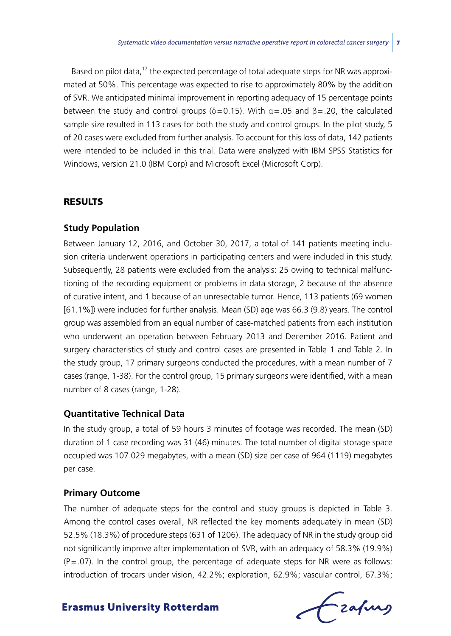Based on pilot data, $17$  the expected percentage of total adequate steps for NR was approximated at 50%. This percentage was expected to rise to approximately 80% by the addition of SVR. We anticipated minimal improvement in reporting adequacy of 15 percentage points between the study and control groups ( $\delta$ =0.15). With  $\alpha$ =.05 and  $\beta$ =.20, the calculated sample size resulted in 113 cases for both the study and control groups. In the pilot study, 5 of 20 cases were excluded from further analysis. To account for this loss of data, 142 patients were intended to be included in this trial. Data were analyzed with IBM SPSS Statistics for Windows, version 21.0 (IBM Corp) and Microsoft Excel (Microsoft Corp).

# Results

### **Study Population**

Between January 12, 2016, and October 30, 2017, a total of 141 patients meeting inclusion criteria underwent operations in participating centers and were included in this study. Subsequently, 28 patients were excluded from the analysis: 25 owing to technical malfunctioning of the recording equipment or problems in data storage, 2 because of the absence of curative intent, and 1 because of an unresectable tumor. Hence, 113 patients (69 women [61.1%]) were included for further analysis. Mean (SD) age was 66.3 (9.8) years. The control group was assembled from an equal number of case-matched patients from each institution who underwent an operation between February 2013 and December 2016. Patient and surgery characteristics of study and control cases are presented in Table 1 and Table 2. In the study group, 17 primary surgeons conducted the procedures, with a mean number of 7 cases (range, 1-38). For the control group, 15 primary surgeons were identified, with a mean number of 8 cases (range, 1-28).

# **Quantitative Technical Data**

In the study group, a total of 59 hours 3 minutes of footage was recorded. The mean (SD) duration of 1 case recording was 31 (46) minutes. The total number of digital storage space occupied was 107 029 megabytes, with a mean (SD) size per case of 964 (1119) megabytes per case.

### **Primary Outcome**

The number of adequate steps for the control and study groups is depicted in Table 3. Among the control cases overall, NR reflected the key moments adequately in mean (SD) 52.5% (18.3%) of procedure steps (631 of 1206). The adequacy of NR in the study group did not significantly improve after implementation of SVR, with an adequacy of 58.3% (19.9%)  $(P = .07)$ . In the control group, the percentage of adequate steps for NR were as follows: introduction of trocars under vision, 42.2%; exploration, 62.9%; vascular control, 67.3%;

Frafing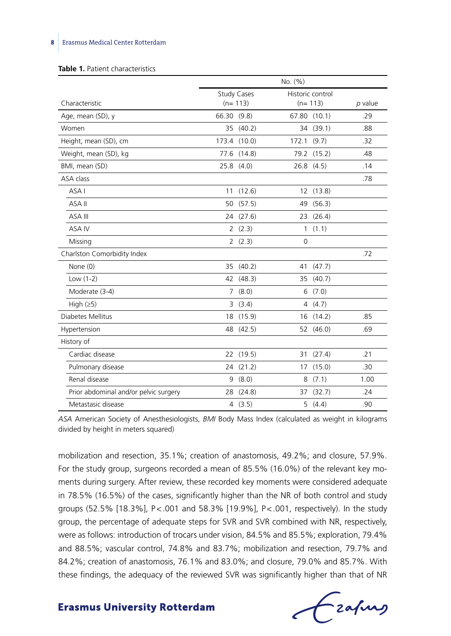#### **8** Erasmus Medical Center Rotterdam

#### **Table 1.** Patient characteristics

|                                       | No. (%)                         |                |              |                               |                |  |
|---------------------------------------|---------------------------------|----------------|--------------|-------------------------------|----------------|--|
| Characteristic                        | <b>Study Cases</b><br>$(n=113)$ |                |              | Historic control<br>$(n=113)$ |                |  |
| Age, mean (SD), y                     | 66.30 (9.8)                     |                |              | 67.80 (10.1)                  | p value<br>.29 |  |
| Women                                 | 35                              | (40.2)         |              | 34 (39.1)                     | .88            |  |
| Height, mean (SD), cm                 | 173.4                           | (10.0)         | 172.1        | (9.7)                         | .32            |  |
| Weight, mean (SD), kg                 |                                 | 77.6 (14.8)    |              | 79.2 (15.2)                   | .48            |  |
| BMI, mean (SD)                        |                                 | $25.8$ $(4.0)$ |              | $26.8$ $(4.5)$                | .14            |  |
| ASA class                             |                                 |                |              |                               | .78            |  |
| ASA I                                 | 11                              | (12.6)         |              | 12 (13.8)                     |                |  |
| ASA II                                |                                 | 50 (57.5)      | 49           | (56.3)                        |                |  |
| ASA III                               | 24                              | (27.6)         | 23           | (26.4)                        |                |  |
| ASA IV                                |                                 | 2(2.3)         | $\mathbf{1}$ | (1.1)                         |                |  |
| Missing                               |                                 | 2(2.3)         | 0            |                               |                |  |
| Charlston Comorbidity Index           |                                 |                |              |                               | .72            |  |
| None (0)                              |                                 | 35 (40.2)      | 41           | (47.7)                        |                |  |
| Low (1-2)                             | 42                              | (48.3)         | 35           | (40.7)                        |                |  |
| Moderate (3-4)                        |                                 | 7(8.0)         | 6            | (7.0)                         |                |  |
| High $(≥5)$                           |                                 | 3(3.4)         |              | 4(4.7)                        |                |  |
| Diabetes Mellitus                     |                                 | 18 (15.9)      |              | 16 (14.2)                     | .85            |  |
| Hypertension                          |                                 | 48 (42.5)      |              | 52 (46.0)                     | .69            |  |
| History of                            |                                 |                |              |                               |                |  |
| Cardiac disease                       | 22                              | (19.5)         |              | 31(27.4)                      | .21            |  |
| Pulmonary disease                     | 24                              | (21.2)         | 17           | (15.0)                        | .30            |  |
| Renal disease                         | 9                               | (8.0)          | 8            | (7.1)                         | 1.00           |  |
| Prior abdominal and/or pelvic surgery |                                 | 28 (24.8)      | 37           | (32.7)                        | .24            |  |
| Metastasic disease                    |                                 | 4(3.5)         |              | 5(4.4)                        | .90            |  |

*ASA* American Society of Anesthesiologists, *BMI* Body Mass Index (calculated as weight in kilograms divided by height in meters squared)

mobilization and resection, 35.1%; creation of anastomosis, 49.2%; and closure, 57.9%. For the study group, surgeons recorded a mean of 85.5% (16.0%) of the relevant key moments during surgery. After review, these recorded key moments were considered adequate in 78.5% (16.5%) of the cases, significantly higher than the NR of both control and study groups (52.5% [18.3%], P<.001 and 58.3% [19.9%], P<.001, respectively). In the study group, the percentage of adequate steps for SVR and SVR combined with NR, respectively, were as follows: introduction of trocars under vision, 84.5% and 85.5%; exploration, 79.4% and 88.5%; vascular control, 74.8% and 83.7%; mobilization and resection, 79.7% and 84.2%; creation of anastomosis, 76.1% and 83.0%; and closure, 79.0% and 85.7%. With these findings, the adequacy of the reviewed SVR was significantly higher than that of NR

frafing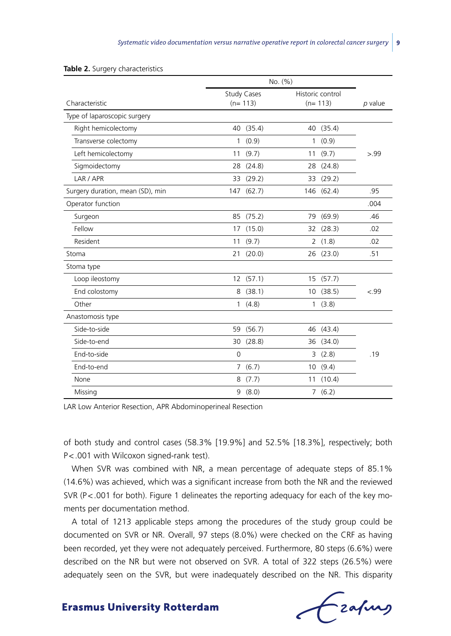| Characteristic                   |              | <b>Study Cases</b><br>$(n=113)$ |    | Historic control<br>$(n=113)$ | p value |
|----------------------------------|--------------|---------------------------------|----|-------------------------------|---------|
| Type of laparoscopic surgery     |              |                                 |    |                               |         |
| Right hemicolectomy              |              | 40 (35.4)                       | 40 | (35.4)                        |         |
| Transverse colectomy             | $\mathbf{1}$ | (0.9)                           | 1  | (0.9)                         |         |
| Left hemicolectomy               |              | 11(9.7)                         | 11 | (9.7)                         | > 99    |
| Sigmoidectomy                    |              | 28 (24.8)                       | 28 | (24.8)                        |         |
| LAR / APR                        |              | 33 (29.2)                       |    | 33 (29.2)                     |         |
| Surgery duration, mean (SD), min |              | 147 (62.7)                      |    | 146 (62.4)                    | .95     |
| Operator function                |              |                                 |    |                               | .004    |
| Surgeon                          |              | 85 (75.2)                       | 79 | (69.9)                        | .46     |
| Fellow                           |              | 17 (15.0)                       |    | 32 (28.3)                     | .02     |
| Resident                         |              | 11(9.7)                         |    | 2(1.8)                        | .02     |
| Stoma                            |              | 21(20.0)                        |    | 26 (23.0)                     | .51     |
| Stoma type                       |              |                                 |    |                               |         |
| Loop ileostomy                   | 12           | (57.1)                          | 15 | (57.7)                        |         |
| End colostomy                    | 8            | (38.1)                          | 10 | (38.5)                        | < .99   |
| Other                            | $\mathbf{1}$ | (4.8)                           | 1  | (3.8)                         |         |
| Anastomosis type                 |              |                                 |    |                               |         |
| Side-to-side                     |              | 59 (56.7)                       | 46 | (43.4)                        |         |
| Side-to-end                      |              | 30 (28.8)                       |    | 36 (34.0)                     |         |
| End-to-side                      | $\Omega$     |                                 | 3  | (2.8)                         | .19     |
| End-to-end                       | $7^{\circ}$  | (6.7)                           | 10 | (9.4)                         |         |
| None                             | 8            | (7.7)                           | 11 | (10.4)                        |         |
| Missing                          | 9            | (8.0)                           |    | 7(6.2)                        |         |

#### **Table 2.** Surgery characteristics

LAR Low Anterior Resection, APR Abdominoperineal Resection

of both study and control cases (58.3% [19.9%] and 52.5% [18.3%], respectively; both P<.001 with Wilcoxon signed-rank test).

When SVR was combined with NR, a mean percentage of adequate steps of 85.1% (14.6%) was achieved, which was a significant increase from both the NR and the reviewed SVR (P<.001 for both). Figure 1 delineates the reporting adequacy for each of the key moments per documentation method.

A total of 1213 applicable steps among the procedures of the study group could be documented on SVR or NR. Overall, 97 steps (8.0%) were checked on the CRF as having been recorded, yet they were not adequately perceived. Furthermore, 80 steps (6.6%) were described on the NR but were not observed on SVR. A total of 322 steps (26.5%) were adequately seen on the SVR, but were inadequately described on the NR. This disparity

Frafing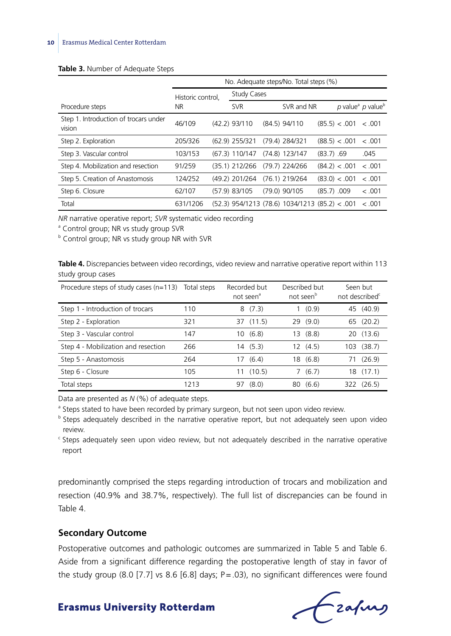#### **Table 3.** Number of Adequate Steps

|                                                 | No. Adequate steps/No. Total steps (%) |  |                    |  |                                                  |               |                                           |         |
|-------------------------------------------------|----------------------------------------|--|--------------------|--|--------------------------------------------------|---------------|-------------------------------------------|---------|
|                                                 | Historic control.<br>NR.               |  | <b>Study Cases</b> |  |                                                  |               |                                           |         |
| Procedure steps                                 |                                        |  | <b>SVR</b>         |  | SVR and NR                                       |               | p value <sup>a</sup> p value <sup>b</sup> |         |
| Step 1. Introduction of trocars under<br>vision | 46/109                                 |  | $(42.2)$ 93/110    |  | (84.5) 94/110                                    |               | (85.5) < .001                             | < 0.001 |
| Step 2. Exploration                             | 205/326                                |  | $(62.9)$ 255/321   |  | (79.4) 284/321                                   |               | (88.5) < .001                             | < .001  |
| Step 3. Vascular control                        | 103/153                                |  | $(67.3)$ 110/147   |  | $(74.8)$ 123/147                                 | $(83.7)$ .69  |                                           | .045    |
| Step 4. Mobilization and resection              | 91/259                                 |  | (35.1) 212/266     |  | $(79.7)$ 224/266                                 |               | (84.2) < .001                             | < .001  |
| Step 5. Creation of Anastomosis                 | 124/252                                |  | (49.2) 201/264     |  | $(76.1)$ 219/264                                 |               | (83.0) < .001                             | < 0.001 |
| Step 6. Closure                                 | 62/107                                 |  | $(57.9)$ 83/105    |  | (79.0) 90/105                                    | $(85.7)$ .009 |                                           | < 0.001 |
| Total                                           | 631/1206                               |  |                    |  | $(52.3)$ 954/1213 (78.6) 1034/1213 (85.2) < .001 |               |                                           | < 0.001 |

*NR* narrative operative report; *SVR* systematic video recording

<sup>a</sup> Control group; NR vs study group SVR

b Control group; NR vs study group NR with SVR

**Table 4.** Discrepancies between video recordings, video review and narrative operative report within 113 study group cases

| Procedure steps of study cases (n=113) Total steps |      | Recorded but<br>not seen <sup>a</sup> | Described but<br>not seen <sup>b</sup> | Seen but<br>not described <sup>c</sup> |  |
|----------------------------------------------------|------|---------------------------------------|----------------------------------------|----------------------------------------|--|
| Step 1 - Introduction of trocars                   | 110  | 8(7.3)                                | (0.9)                                  | 45 (40.9)                              |  |
| Step 2 - Exploration                               | 321  | 37 (11.5)                             | 29(9.0)                                | 65 (20.2)                              |  |
| Step 3 - Vascular control                          | 147  | (6.8)<br>10                           | (8.8)<br>13                            | 20 (13.6)                              |  |
| Step 4 - Mobilization and resection                | 266  | 14 (5.3)                              | 12(4.5)                                | (38.7)<br>103                          |  |
| Step 5 - Anastomosis                               | 264  | (6.4)<br>17                           | 18 (6.8)                               | (26.9)<br>71                           |  |
| Step 6 - Closure                                   | 105  | (10.5)<br>11                          | (6.7)                                  | 18 (17.1)                              |  |
| Total steps                                        | 1213 | (8.0)<br>97                           | (6.6)<br>80                            | 322 (26.5)                             |  |

Data are presented as *N* (%) of adequate steps.

<sup>a</sup> Steps stated to have been recorded by primary surgeon, but not seen upon video review.

**b** Steps adequately described in the narrative operative report, but not adequately seen upon video review.

<sup>c</sup> Steps adequately seen upon video review, but not adequately described in the narrative operative report

predominantly comprised the steps regarding introduction of trocars and mobilization and resection (40.9% and 38.7%, respectively). The full list of discrepancies can be found in Table 4.

### **Secondary Outcome**

Postoperative outcomes and pathologic outcomes are summarized in Table 5 and Table 6. Aside from a significant difference regarding the postoperative length of stay in favor of the study group (8.0 [7.7] vs 8.6 [6.8] days; P=.03), no significant differences were found

frafing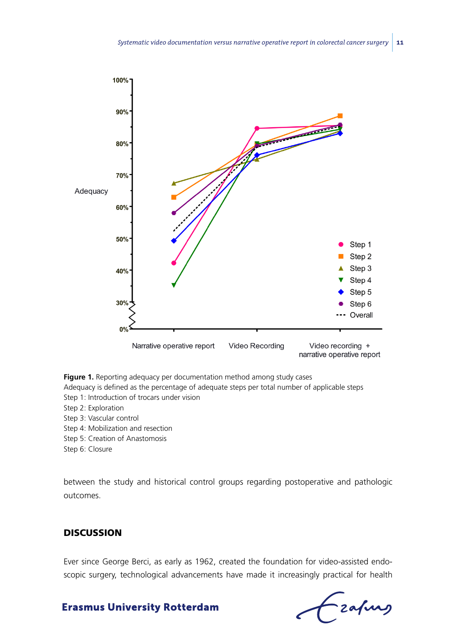

Figure 1. Reporting adequacy per documentation method among study cases Adequacy is defined as the percentage of adequate steps per total number of applicable steps Step 1: Introduction of trocars under vision Step 2: Exploration

- 
- Step 3: Vascular control
- Step 4: Mobilization and resection
- Step 5: Creation of Anastomosis
- Step 6: Closure

between the study and historical control groups regarding postoperative and pathologic outcomes.

### **DISCUSSION**

Ever since George Berci, as early as 1962, created the foundation for video-assisted endoscopic surgery, technological advancements have made it increasingly practical for health

Frafing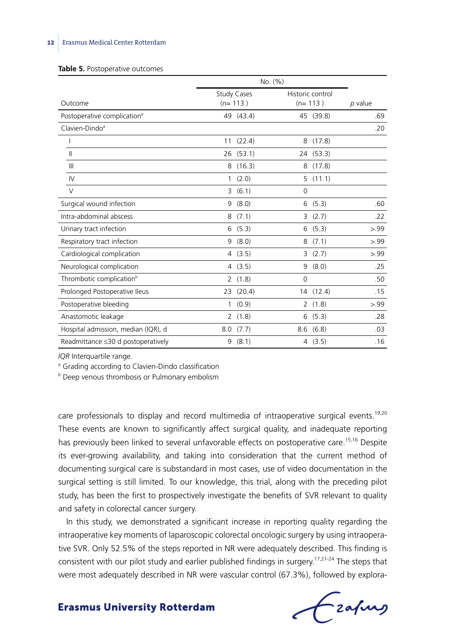### **Table 5.** Postoperative outcomes

|                                          |              | <b>Study Cases</b> | Historic control |           |         |
|------------------------------------------|--------------|--------------------|------------------|-----------|---------|
| Outcome                                  |              | $(n=113)$          |                  | $(n=113)$ | p value |
| Postoperative complication <sup>a</sup>  |              | 49 (43.4)          |                  | 45 (39.8) | .69     |
| Clavien-Dindo <sup>a</sup>               |              |                    |                  |           | .20     |
| T                                        | 11           | (22.4)             |                  | 8(17.8)   |         |
| $\mathbb{I}$                             |              | 26 (53.1)          |                  | 24 (53.3) |         |
| $\mathbf{III}$                           | 8            | (16.3)             |                  | 8(17.8)   |         |
| IV                                       | $\mathbf{1}$ | (2.0)              |                  | 5(11.1)   |         |
| $\vee$                                   |              | 3(6.1)             | 0                |           |         |
| Surgical wound infection                 | 9            | (8.0)              | 6                | (5.3)     | .60     |
| Intra-abdominal abscess                  | 8            | (7.1)              |                  | 3(2.7)    | .22     |
| Urinary tract infection                  |              | 6(5.3)             |                  | 6(5.3)    | > 0.99  |
| Respiratory tract infection              | 9            | (8.0)              |                  | 8(7.1)    | > 99    |
| Cardiological complication               |              | 4(3.5)             |                  | 3(2.7)    | > 0.99  |
| Neurological complication                |              | 4(3.5)             |                  | 9(8.0)    | .25     |
| Thrombotic complication <sup>b</sup>     |              | 2(1.8)             | $\mathbf 0$      |           | .50     |
| Prolonged Postoperative Ileus            | 23           | (20.4)             |                  | 14 (12.4) | .15     |
| Postoperative bleeding                   | $\mathbf{1}$ | (0.9)              |                  | 2(1.8)    | > 99    |
| Anastomotic leakage                      |              | 2(1.8)             |                  | 6(5.3)    | .28     |
| Hospital admission, median (IQR), d      |              | $8.0$ $(7.7)$      |                  | 8.6(6.8)  | .03     |
| Readmittance $\leq$ 30 d postoperatively | 9            | (8.1)              |                  | 4(3.5)    | .16     |

*IQR* Interquartile range.

<sup>a</sup> Grading according to Clavien-Dindo classification

**b** Deep venous thrombosis or Pulmonary embolism

care professionals to display and record multimedia of intraoperative surgical events.<sup>19,20</sup> These events are known to significantly affect surgical quality, and inadequate reporting has previously been linked to several unfavorable effects on postoperative care.<sup>15,16</sup> Despite its ever-growing availability, and taking into consideration that the current method of documenting surgical care is substandard in most cases, use of video documentation in the surgical setting is still limited. To our knowledge, this trial, along with the preceding pilot study, has been the first to prospectively investigate the benefits of SVR relevant to quality and safety in colorectal cancer surgery.

In this study, we demonstrated a significant increase in reporting quality regarding the intraoperative key moments of laparoscopic colorectal oncologic surgery by using intraoperative SVR. Only 52.5% of the steps reported in NR were adequately described. This finding is consistent with our pilot study and earlier published findings in surgery.<sup>17,21-24</sup> The steps that were most adequately described in NR were vascular control (67.3%), followed by explora-

frafing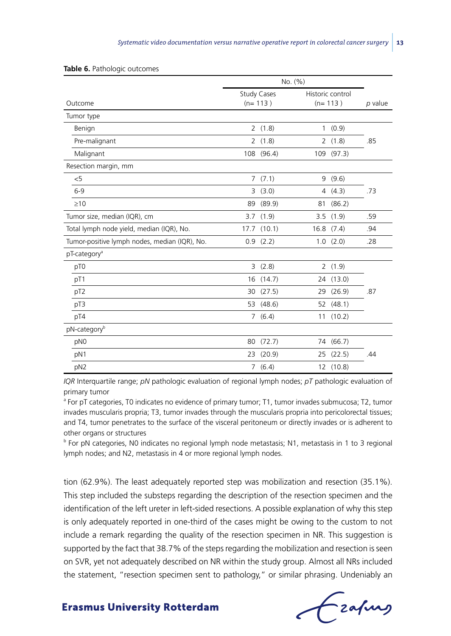|                                               | <b>Study Cases</b> |               | Historic control |                |         |
|-----------------------------------------------|--------------------|---------------|------------------|----------------|---------|
| Outcome                                       | $(n=113)$          |               | $(n=113)$        |                | p value |
| Tumor type                                    |                    |               |                  |                |         |
| Benign                                        |                    | 2(1.8)        |                  | 1(0.9)         |         |
| Pre-malignant                                 |                    | 2(1.8)        |                  | 2(1.8)         | .85     |
| Malignant                                     |                    | 108 (96.4)    |                  | 109 (97.3)     |         |
| Resection margin, mm                          |                    |               |                  |                |         |
| $<$ 5                                         |                    | 7(7.1)        |                  | 9(9.6)         |         |
| $6 - 9$                                       | 3                  | (3.0)         |                  | 4(4.3)         | .73     |
| $\geq 10$                                     | 89                 | (89.9)        | 81               | (86.2)         |         |
| Tumor size, median (IQR), cm                  | 3.7                | (1.9)         | 3.5              | (1.9)          | .59     |
| Total lymph node yield, median (IQR), No.     | 17.7               | (10.1)        |                  | $16.8$ $(7.4)$ | .94     |
| Tumor-positive lymph nodes, median (IQR), No. |                    | $0.9$ $(2.2)$ |                  | $1.0$ $(2.0)$  | .28     |
| pT-category <sup>a</sup>                      |                    |               |                  |                |         |
| pT0                                           |                    | 3(2.8)        |                  | 2(1.9)         |         |
| pT1                                           | 16                 | (14.7)        | 24               | (13.0)         |         |
| pT <sub>2</sub>                               | 30                 | (27.5)        | 29               | (26.9)         | .87     |
| pT3                                           | 53                 | (48.6)        | 52               | (48.1)         |         |
| pT4                                           |                    | 7(6.4)        |                  | 11(10.2)       |         |
| pN-category <sup>b</sup>                      |                    |               |                  |                |         |
| pN0                                           | 80                 | (72.7)        | 74               | (66.7)         |         |
| pN1                                           | 23                 | (20.9)        | 25               | (22.5)         | .44     |
| pN <sub>2</sub>                               |                    | 7(6.4)        |                  | 12 (10.8)      |         |

#### **Table 6.** Pathologic outcomes

*IQR* Interquartile range; *pN* pathologic evaluation of regional lymph nodes; *pT* pathologic evaluation of primary tumor

a For pT categories, T0 indicates no evidence of primary tumor; T1, tumor invades submucosa; T2, tumor invades muscularis propria; T3, tumor invades through the muscularis propria into pericolorectal tissues; and T4, tumor penetrates to the surface of the visceral peritoneum or directly invades or is adherent to other organs or structures

b For pN categories, N0 indicates no regional lymph node metastasis; N1, metastasis in 1 to 3 regional lymph nodes; and N2, metastasis in 4 or more regional lymph nodes.

tion (62.9%). The least adequately reported step was mobilization and resection (35.1%). This step included the substeps regarding the description of the resection specimen and the identification of the left ureter in left-sided resections. A possible explanation of why this step is only adequately reported in one-third of the cases might be owing to the custom to not include a remark regarding the quality of the resection specimen in NR. This suggestion is supported by the fact that 38.7% of the steps regarding the mobilization and resection is seen on SVR, yet not adequately described on NR within the study group. Almost all NRs included the statement, "resection specimen sent to pathology," or similar phrasing. Undeniably an

Czafurz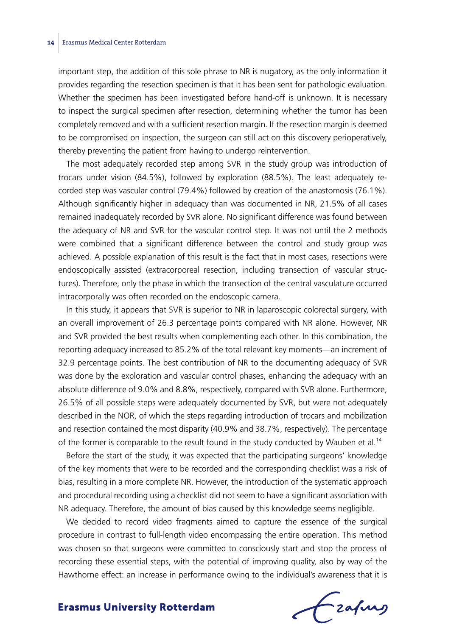important step, the addition of this sole phrase to NR is nugatory, as the only information it provides regarding the resection specimen is that it has been sent for pathologic evaluation. Whether the specimen has been investigated before hand-off is unknown. It is necessary to inspect the surgical specimen after resection, determining whether the tumor has been completely removed and with a sufficient resection margin. If the resection margin is deemed to be compromised on inspection, the surgeon can still act on this discovery perioperatively, thereby preventing the patient from having to undergo reintervention.

The most adequately recorded step among SVR in the study group was introduction of trocars under vision (84.5%), followed by exploration (88.5%). The least adequately recorded step was vascular control (79.4%) followed by creation of the anastomosis (76.1%). Although significantly higher in adequacy than was documented in NR, 21.5% of all cases remained inadequately recorded by SVR alone. No significant difference was found between the adequacy of NR and SVR for the vascular control step. It was not until the 2 methods were combined that a significant difference between the control and study group was achieved. A possible explanation of this result is the fact that in most cases, resections were endoscopically assisted (extracorporeal resection, including transection of vascular structures). Therefore, only the phase in which the transection of the central vasculature occurred intracorporally was often recorded on the endoscopic camera.

In this study, it appears that SVR is superior to NR in laparoscopic colorectal surgery, with an overall improvement of 26.3 percentage points compared with NR alone. However, NR and SVR provided the best results when complementing each other. In this combination, the reporting adequacy increased to 85.2% of the total relevant key moments—an increment of 32.9 percentage points. The best contribution of NR to the documenting adequacy of SVR was done by the exploration and vascular control phases, enhancing the adequacy with an absolute difference of 9.0% and 8.8%, respectively, compared with SVR alone. Furthermore, 26.5% of all possible steps were adequately documented by SVR, but were not adequately described in the NOR, of which the steps regarding introduction of trocars and mobilization and resection contained the most disparity (40.9% and 38.7%, respectively). The percentage of the former is comparable to the result found in the study conducted by Wauben et al.<sup>14</sup>

Before the start of the study, it was expected that the participating surgeons' knowledge of the key moments that were to be recorded and the corresponding checklist was a risk of bias, resulting in a more complete NR. However, the introduction of the systematic approach and procedural recording using a checklist did not seem to have a significant association with NR adequacy. Therefore, the amount of bias caused by this knowledge seems negligible.

We decided to record video fragments aimed to capture the essence of the surgical procedure in contrast to full-length video encompassing the entire operation. This method was chosen so that surgeons were committed to consciously start and stop the process of recording these essential steps, with the potential of improving quality, also by way of the Hawthorne effect: an increase in performance owing to the individual's awareness that it is

**Erasmus University Rotterdam** 

Frahing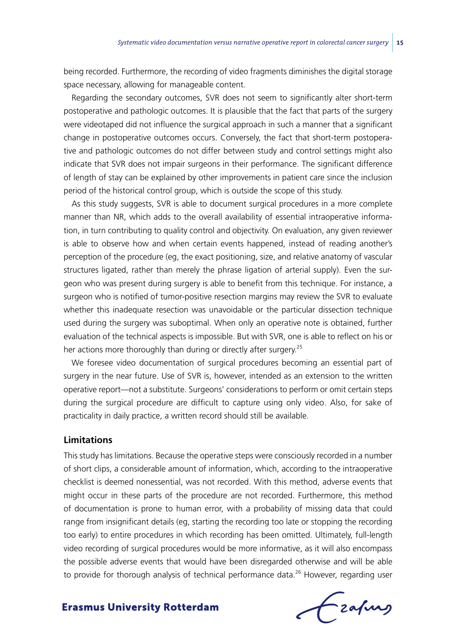being recorded. Furthermore, the recording of video fragments diminishes the digital storage space necessary, allowing for manageable content.

Regarding the secondary outcomes, SVR does not seem to significantly alter short-term postoperative and pathologic outcomes. It is plausible that the fact that parts of the surgery were videotaped did not influence the surgical approach in such a manner that a significant change in postoperative outcomes occurs. Conversely, the fact that short-term postoperative and pathologic outcomes do not differ between study and control settings might also indicate that SVR does not impair surgeons in their performance. The significant difference of length of stay can be explained by other improvements in patient care since the inclusion period of the historical control group, which is outside the scope of this study.

As this study suggests, SVR is able to document surgical procedures in a more complete manner than NR, which adds to the overall availability of essential intraoperative information, in turn contributing to quality control and objectivity. On evaluation, any given reviewer is able to observe how and when certain events happened, instead of reading another's perception of the procedure (eg, the exact positioning, size, and relative anatomy of vascular structures ligated, rather than merely the phrase ligation of arterial supply). Even the surgeon who was present during surgery is able to benefit from this technique. For instance, a surgeon who is notified of tumor-positive resection margins may review the SVR to evaluate whether this inadequate resection was unavoidable or the particular dissection technique used during the surgery was suboptimal. When only an operative note is obtained, further evaluation of the technical aspects is impossible. But with SVR, one is able to reflect on his or her actions more thoroughly than during or directly after surgery.<sup>25</sup>

We foresee video documentation of surgical procedures becoming an essential part of surgery in the near future. Use of SVR is, however, intended as an extension to the written operative report—not a substitute. Surgeons' considerations to perform or omit certain steps during the surgical procedure are difficult to capture using only video. Also, for sake of practicality in daily practice, a written record should still be available.

# **Limitations**

This study has limitations. Because the operative steps were consciously recorded in a number of short clips, a considerable amount of information, which, according to the intraoperative checklist is deemed nonessential, was not recorded. With this method, adverse events that might occur in these parts of the procedure are not recorded. Furthermore, this method of documentation is prone to human error, with a probability of missing data that could range from insignificant details (eg, starting the recording too late or stopping the recording too early) to entire procedures in which recording has been omitted. Ultimately, full-length video recording of surgical procedures would be more informative, as it will also encompass the possible adverse events that would have been disregarded otherwise and will be able to provide for thorough analysis of technical performance data.<sup>26</sup> However, regarding user

Czafurg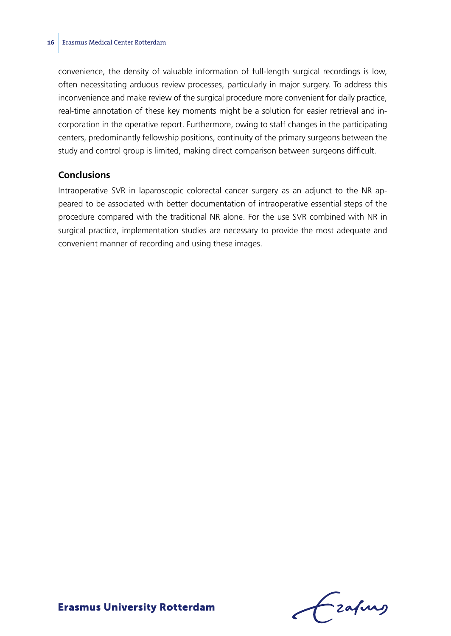convenience, the density of valuable information of full-length surgical recordings is low, often necessitating arduous review processes, particularly in major surgery. To address this inconvenience and make review of the surgical procedure more convenient for daily practice, real-time annotation of these key moments might be a solution for easier retrieval and incorporation in the operative report. Furthermore, owing to staff changes in the participating centers, predominantly fellowship positions, continuity of the primary surgeons between the study and control group is limited, making direct comparison between surgeons difficult.

### **Conclusions**

Intraoperative SVR in laparoscopic colorectal cancer surgery as an adjunct to the NR appeared to be associated with better documentation of intraoperative essential steps of the procedure compared with the traditional NR alone. For the use SVR combined with NR in surgical practice, implementation studies are necessary to provide the most adequate and convenient manner of recording and using these images.

Frahing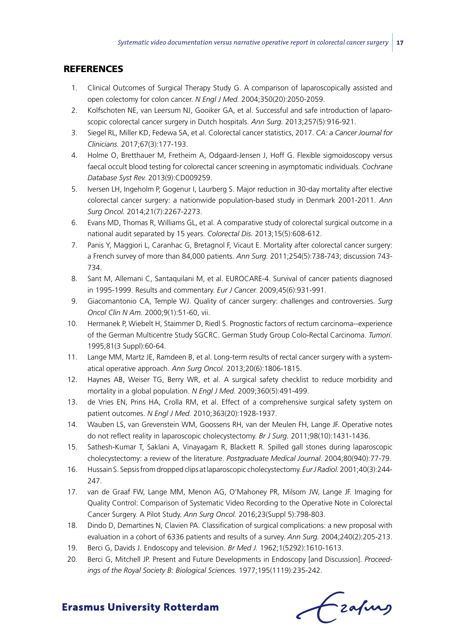# **REFERENCES**

- 1. Clinical Outcomes of Surgical Therapy Study G. A comparison of laparoscopically assisted and open colectomy for colon cancer. *N Engl J Med.* 2004;350(20):2050-2059.
- 2. Kolfschoten NE, van Leersum NJ, Gooiker GA, et al. Successful and safe introduction of laparoscopic colorectal cancer surgery in Dutch hospitals. *Ann Surg.* 2013;257(5):916-921.
- 3. Siegel RL, Miller KD, Fedewa SA, et al. Colorectal cancer statistics, 2017. *CA: a Cancer Journal for Clinicians.* 2017;67(3):177-193.
- 4. Holme O, Bretthauer M, Fretheim A, Odgaard-Jensen J, Hoff G. Flexible sigmoidoscopy versus faecal occult blood testing for colorectal cancer screening in asymptomatic individuals. *Cochrane Database Syst Rev.* 2013(9):CD009259.
- 5. Iversen LH, Ingeholm P, Gogenur I, Laurberg S. Major reduction in 30-day mortality after elective colorectal cancer surgery: a nationwide population-based study in Denmark 2001-2011. *Ann Surg Oncol.* 2014;21(7):2267-2273.
- 6. Evans MD, Thomas R, Williams GL, et al. A comparative study of colorectal surgical outcome in a national audit separated by 15 years. *Colorectal Dis.* 2013;15(5):608-612.
- 7. Panis Y, Maggiori L, Caranhac G, Bretagnol F, Vicaut E. Mortality after colorectal cancer surgery: a French survey of more than 84,000 patients. *Ann Surg.* 2011;254(5):738-743; discussion 743- 734.
- 8. Sant M, Allemani C, Santaquilani M, et al. EUROCARE-4. Survival of cancer patients diagnosed in 1995-1999. Results and commentary. *Eur J Cancer.* 2009;45(6):931-991.
- 9. Giacomantonio CA, Temple WJ. Quality of cancer surgery: challenges and controversies. *Surg Oncol Clin N Am.* 2000;9(1):51-60, vii.
- 10. Hermanek P, Wiebelt H, Staimmer D, Riedl S. Prognostic factors of rectum carcinoma--experience of the German Multicentre Study SGCRC. German Study Group Colo-Rectal Carcinoma. *Tumori.* 1995;81(3 Suppl):60-64.
- 11. Lange MM, Martz JE, Ramdeen B, et al. Long-term results of rectal cancer surgery with a systematical operative approach. *Ann Surg Oncol.* 2013;20(6):1806-1815.
- 12. Haynes AB, Weiser TG, Berry WR, et al. A surgical safety checklist to reduce morbidity and mortality in a global population. *N Engl J Med.* 2009;360(5):491-499.
- 13. de Vries EN, Prins HA, Crolla RM, et al. Effect of a comprehensive surgical safety system on patient outcomes. *N Engl J Med.* 2010;363(20):1928-1937.
- 14. Wauben LS, van Grevenstein WM, Goossens RH, van der Meulen FH, Lange JF. Operative notes do not reflect reality in laparoscopic cholecystectomy. *Br J Surg.* 2011;98(10):1431-1436.
- 15. Sathesh-Kumar T, Saklani A, Vinayagam R, Blackett R. Spilled gall stones during laparoscopic cholecystectomy: a review of the literature. *Postgraduate Medical Journal.* 2004;80(940):77-79.
- 16. Hussain S. Sepsis from dropped clips at laparoscopic cholecystectomy. *Eur J Radiol.* 2001;40(3):244- 247.
- 17. van de Graaf FW, Lange MM, Menon AG, O'Mahoney PR, Milsom JW, Lange JF. Imaging for Quality Control: Comparison of Systematic Video Recording to the Operative Note in Colorectal Cancer Surgery. A Pilot Study. *Ann Surg Oncol.* 2016;23(Suppl 5):798-803.
- 18. Dindo D, Demartines N, Clavien PA. Classification of surgical complications: a new proposal with evaluation in a cohort of 6336 patients and results of a survey. *Ann Surg.* 2004;240(2):205-213.
- 19. Berci G, Davids J. Endoscopy and television. *Br Med J.* 1962;1(5292):1610-1613.
- 20. Berci G, Mitchell JP. Present and Future Developments in Endoscopy [and Discussion]. *Proceedings of the Royal Society B: Biological Sciences.* 1977;195(1119):235-242.

Czafing